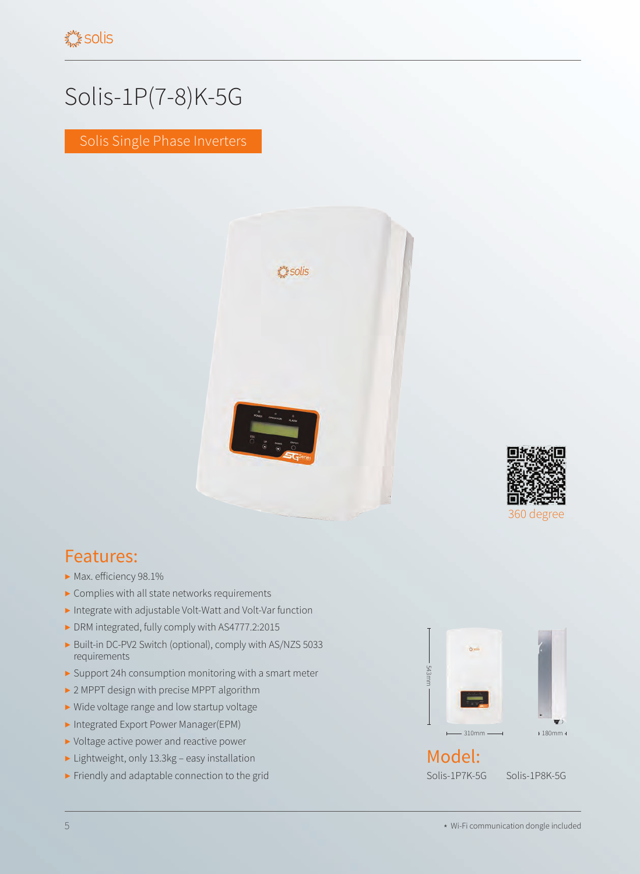## Solis-1P(7-8)K-5G

Solis Single Phase Inverters





## Features:

- ▶ Max. efficiency 98.1%
- ▶ Complies with all state networks requirements
- ▶ Integrate with adjustable Volt-Watt and Volt-Var function
- ▶ DRM integrated, fully comply with AS4777.2:2015
- ▶ Built-in DC-PV2 Switch (optional), comply with AS/NZS 5033 requirements
- ▶ Support 24h consumption monitoring with a smart meter
- ▶ 2 MPPT design with precise MPPT algorithm
- ▶ Wide voltage range and low startup voltage
- ▶ Integrated Export Power Manager(EPM)
- ▶ Voltage active power and reactive power
- ▶ Lightweight, only 13.3kg easy installation
- ▶ Friendly and adaptable connection to the grid



Solis-1P7K-5G Solis-1P8K-5G